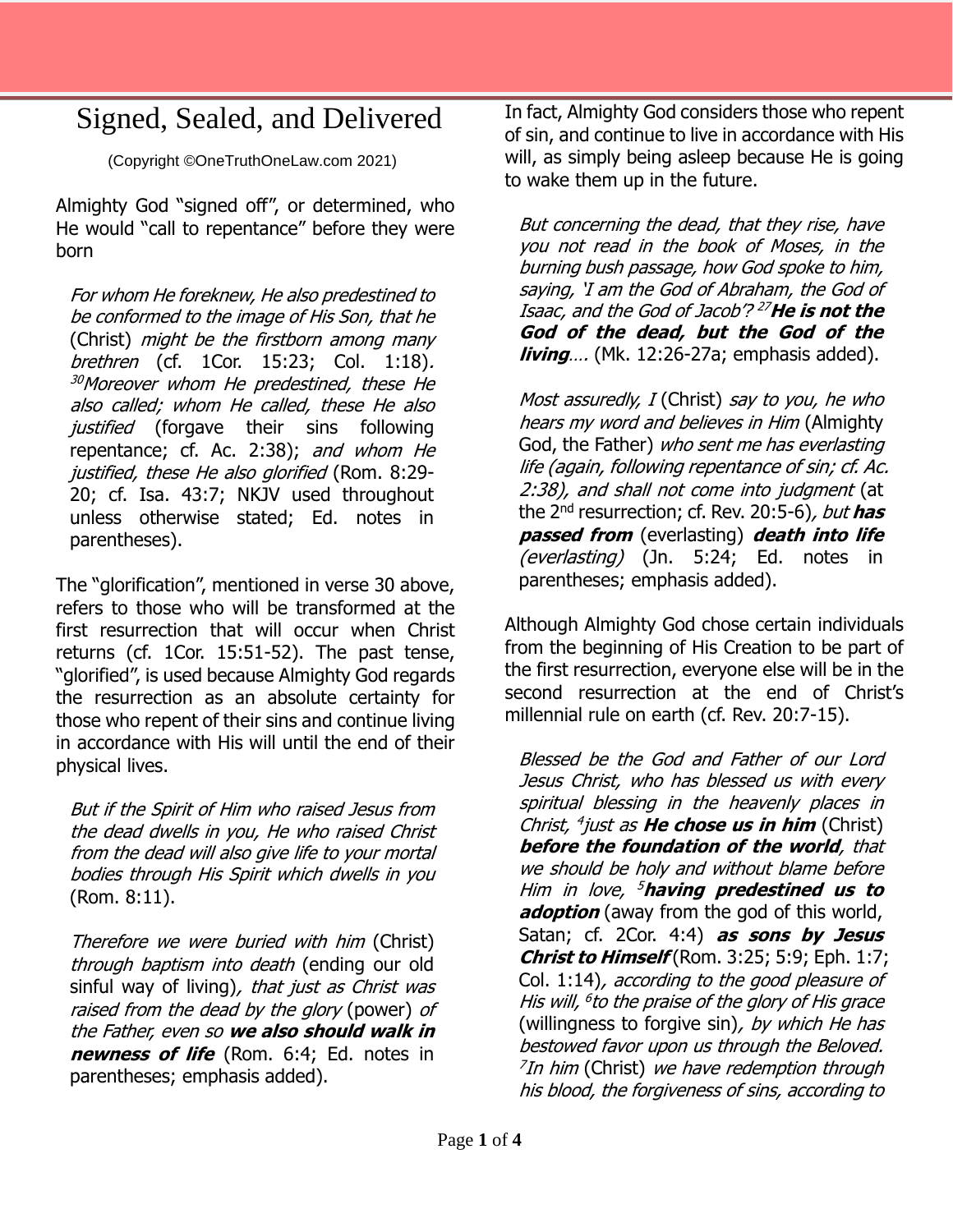## Signed, Sealed, and Delivered

(Copyright ©OneTruthOneLaw.com 2021)

Almighty God "signed off", or determined, who He would "call to repentance" before they were born

For whom He foreknew, He also predestined to be conformed to the image of His Son, that he (Christ) might be the firstborn among many brethren (cf. 1Cor. 15:23; Col. 1:18). <sup>30</sup>Moreover whom He predestined, these He also called; whom He called, these He also justified (forgave their sins following repentance; cf. Ac. 2:38); and whom He justified, these He also glorified (Rom. 8:29- 20; cf. Isa. 43:7; NKJV used throughout unless otherwise stated; Ed. notes in parentheses).

The "glorification", mentioned in verse 30 above, refers to those who will be transformed at the first resurrection that will occur when Christ returns (cf. 1Cor. 15:51-52). The past tense, "glorified", is used because Almighty God regards the resurrection as an absolute certainty for those who repent of their sins and continue living in accordance with His will until the end of their physical lives.

But if the Spirit of Him who raised Jesus from the dead dwells in you, He who raised Christ from the dead will also give life to your mortal bodies through His Spirit which dwells in you (Rom. 8:11).

Therefore we were buried with him (Christ) through baptism into death (ending our old sinful way of living), that just as Christ was raised from the dead by the glory (power) of the Father, even so **we also should walk in newness of life** (Rom. 6:4; Ed. notes in parentheses; emphasis added).

In fact, Almighty God considers those who repent of sin, and continue to live in accordance with His will, as simply being asleep because He is going to wake them up in the future.

But concerning the dead, that they rise, have you not read in the book of Moses, in the burning bush passage, how God spoke to him, saying, 'I am the God of Abraham, the God of Isaac, and the God of Jacob'? <sup>27</sup>**He is not the God of the dead, but the God of the living**…. (Mk. 12:26-27a; emphasis added).

Most assuredly, I (Christ) say to you, he who hears my word and believes in Him (Almighty God, the Father) who sent me has everlasting life (again, following repentance of sin; cf. Ac. 2:38), and shall not come into judgment (at the 2nd resurrection; cf. Rev. 20:5-6), but **has passed from** (everlasting) **death into life** (everlasting) (Jn. 5:24; Ed. notes in parentheses; emphasis added).

Although Almighty God chose certain individuals from the beginning of His Creation to be part of the first resurrection, everyone else will be in the second resurrection at the end of Christ's millennial rule on earth (cf. Rev. 20:7-15).

Blessed be the God and Father of our Lord Jesus Christ, who has blessed us with every spiritual blessing in the heavenly places in Christ, 4 just as **He chose us in him** (Christ) **before the foundation of the world**, that we should be holy and without blame before Him in love, <sup>5</sup>**having predestined us to adoption** (away from the god of this world, Satan; cf. 2Cor. 4:4) **as sons by Jesus Christ to Himself** (Rom. 3:25; 5:9; Eph. 1:7; Col. 1:14), according to the good pleasure of His will, 6 to the praise of the glory of His grace (willingness to forgive sin), by which He has bestowed favor upon us through the Beloved.  $7$ In him (Christ) we have redemption through his blood, the forgiveness of sins, according to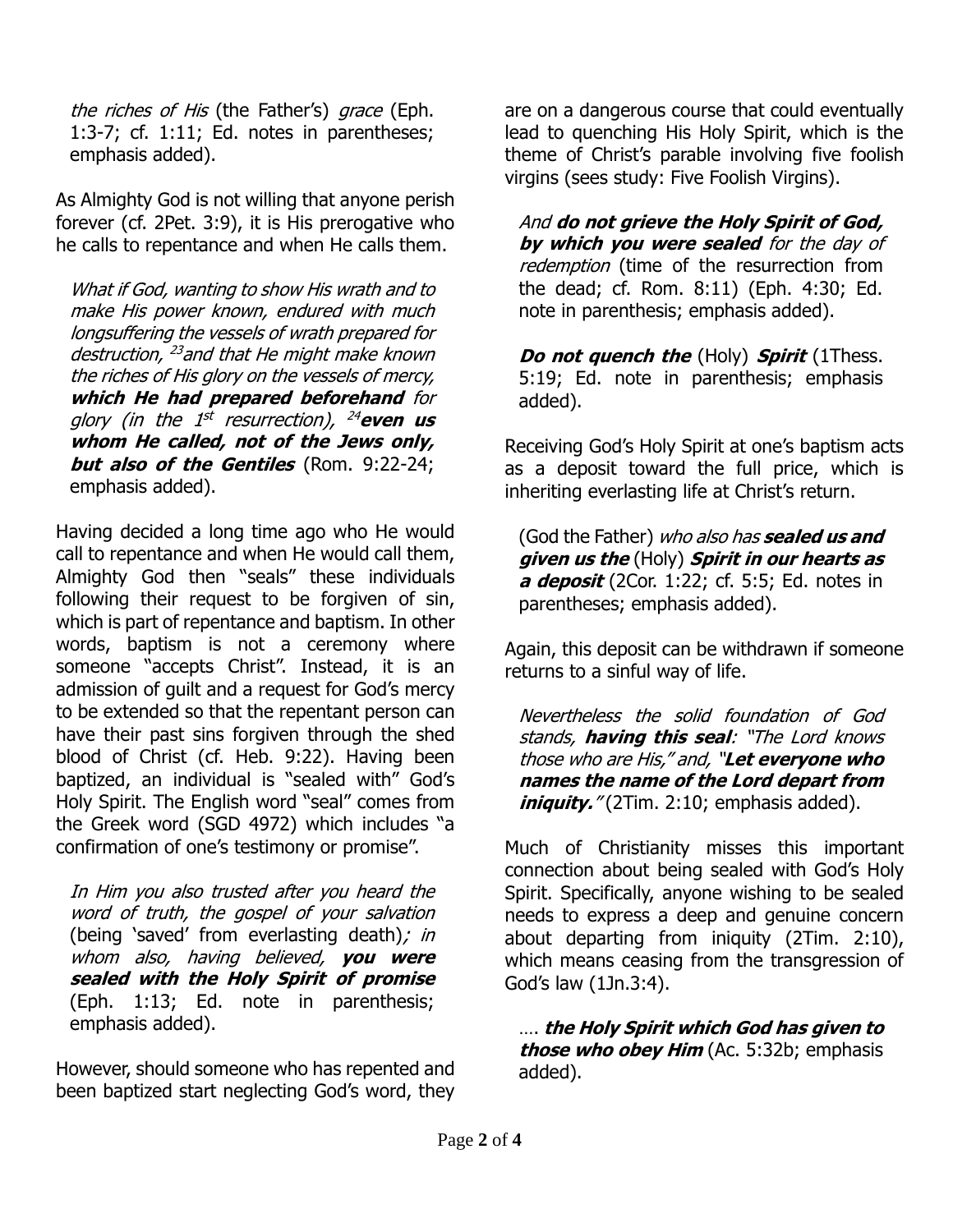the riches of His (the Father's) grace (Eph. 1:3-7; cf. 1:11; Ed. notes in parentheses; emphasis added).

As Almighty God is not willing that anyone perish forever (cf. 2Pet. 3:9), it is His prerogative who he calls to repentance and when He calls them.

What if God, wanting to show His wrath and to make His power known, endured with much longsuffering the vessels of wrath prepared for destruction, <sup>23</sup> and that He might make known the riches of His glory on the vessels of mercy, **which He had prepared beforehand** for glory (in the 1<sup>st</sup> resurrection), <sup>24</sup>even us **whom He called, not of the Jews only, but also of the Gentiles** (Rom. 9:22-24; emphasis added).

Having decided a long time ago who He would call to repentance and when He would call them, Almighty God then "seals" these individuals following their request to be forgiven of sin, which is part of repentance and baptism. In other words, baptism is not a ceremony where someone "accepts Christ". Instead, it is an admission of guilt and a request for God's mercy to be extended so that the repentant person can have their past sins forgiven through the shed blood of Christ (cf. Heb. 9:22). Having been baptized, an individual is "sealed with" God's Holy Spirit. The English word "seal" comes from the Greek word (SGD 4972) which includes "a confirmation of one's testimony or promise".

In Him you also trusted after you heard the word of truth, the gospel of your salvation (being 'saved' from everlasting death); in whom also, having believed, **you were sealed with the Holy Spirit of promise** (Eph. 1:13; Ed. note in parenthesis; emphasis added).

However, should someone who has repented and been baptized start neglecting God's word, they

are on a dangerous course that could eventually lead to quenching His Holy Spirit, which is the theme of Christ's parable involving five foolish virgins (sees study: Five Foolish Virgins).

And **do not grieve the Holy Spirit of God, by which you were sealed** for the day of redemption (time of the resurrection from the dead; cf. Rom. 8:11) (Eph. 4:30; Ed. note in parenthesis; emphasis added).

**Do not quench the** (Holy) **Spirit** (1Thess. 5:19; Ed. note in parenthesis; emphasis added).

Receiving God's Holy Spirit at one's baptism acts as a deposit toward the full price, which is inheriting everlasting life at Christ's return.

(God the Father) who also has **sealed us and given us the** (Holy) **Spirit in our hearts as a deposit** (2Cor. 1:22; cf. 5:5; Ed. notes in parentheses; emphasis added).

Again, this deposit can be withdrawn if someone returns to a sinful way of life.

Nevertheless the solid foundation of God stands, **having this seal**: "The Lord knows those who are His," and, "**Let everyone who names the name of the Lord depart from iniquity.**" (2Tim. 2:10; emphasis added).

Much of Christianity misses this important connection about being sealed with God's Holy Spirit. Specifically, anyone wishing to be sealed needs to express a deep and genuine concern about departing from iniquity (2Tim. 2:10), which means ceasing from the transgression of God's law (1Jn.3:4).

…. **the Holy Spirit which God has given to those who obey Him** (Ac. 5:32b; emphasis added).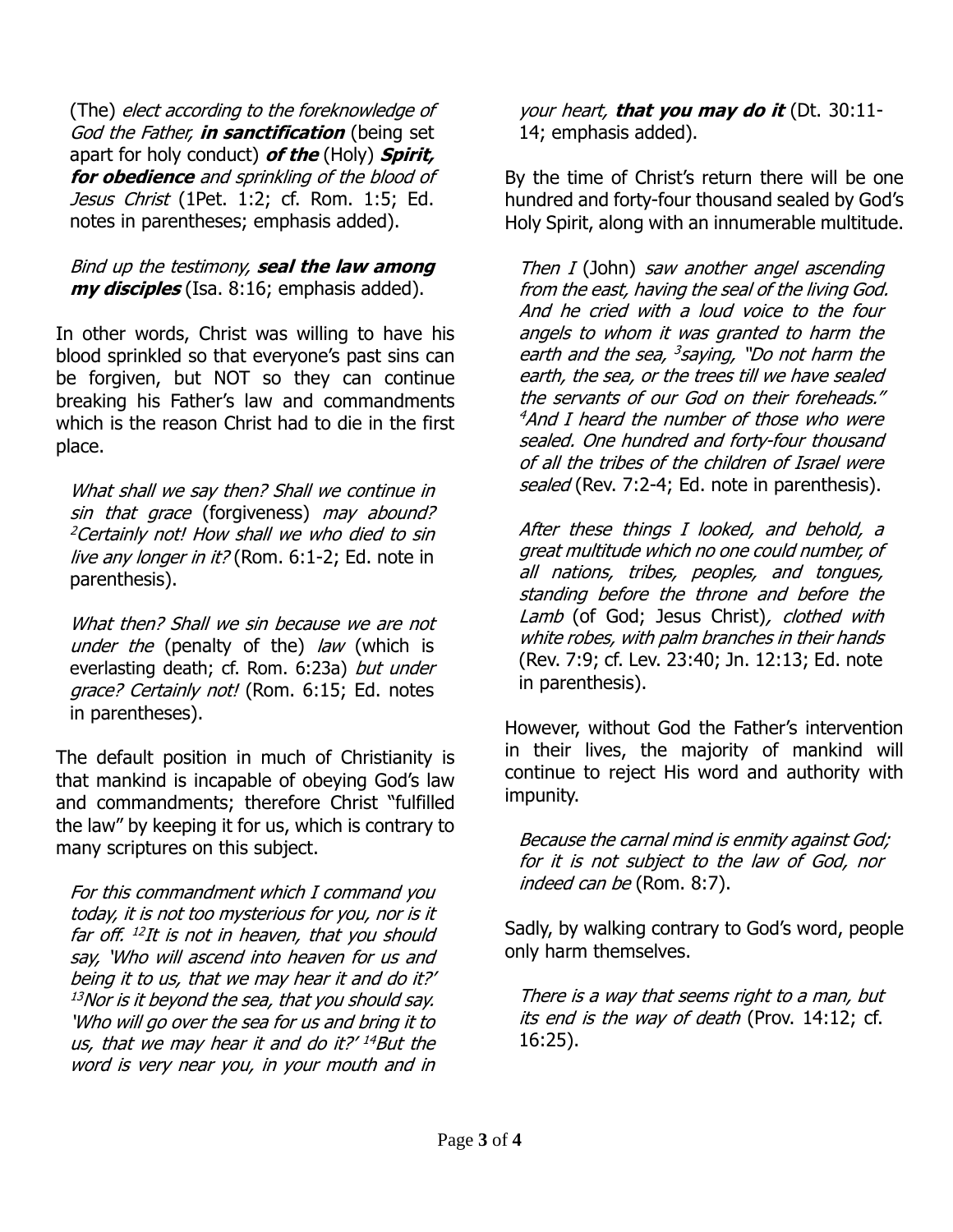(The) elect according to the foreknowledge of God the Father, **in sanctification** (being set apart for holy conduct) **of the** (Holy) **Spirit, for obedience** and sprinkling of the blood of Jesus Christ (1Pet. 1:2; cf. Rom. 1:5; Ed. notes in parentheses; emphasis added).

## Bind up the testimony, **seal the law among my disciples** (Isa. 8:16; emphasis added).

In other words, Christ was willing to have his blood sprinkled so that everyone's past sins can be forgiven, but NOT so they can continue breaking his Father's law and commandments which is the reason Christ had to die in the first place.

What shall we say then? Shall we continue in sin that grace (forgiveness) may abound? <sup>2</sup>Certainly not! How shall we who died to sin live any longer in it? (Rom. 6:1-2; Ed. note in parenthesis).

What then? Shall we sin because we are not under the (penalty of the) law (which is everlasting death; cf. Rom. 6:23a) but under grace? Certainly not! (Rom. 6:15; Ed. notes in parentheses).

The default position in much of Christianity is that mankind is incapable of obeying God's law and commandments; therefore Christ "fulfilled the law" by keeping it for us, which is contrary to many scriptures on this subject.

For this commandment which I command you today, it is not too mysterious for you, nor is it far off. 12 It is not in heaven, that you should say, 'Who will ascend into heaven for us and being it to us, that we may hear it and do it?'  $13$ Nor is it beyond the sea, that you should say. 'Who will go over the sea for us and bring it to us, that we may hear it and do it?' <sup>14</sup>But the word is very near you, in your mouth and in

your heart, **that you may do it** (Dt. 30:11- 14; emphasis added).

By the time of Christ's return there will be one hundred and forty-four thousand sealed by God's Holy Spirit, along with an innumerable multitude.

Then I (John) saw another angel ascending from the east, having the seal of the living God. And he cried with a loud voice to the four angels to whom it was granted to harm the earth and the sea, <sup>3</sup>saying, "Do not harm the earth, the sea, or the trees till we have sealed the servants of our God on their foreheads."  $4$ And I heard the number of those who were sealed. One hundred and forty-four thousand of all the tribes of the children of Israel were sealed (Rev. 7:2-4; Ed. note in parenthesis).

After these things I looked, and behold, a great multitude which no one could number, of all nations, tribes, peoples, and tongues, standing before the throne and before the Lamb (of God; Jesus Christ), clothed with white robes, with palm branches in their hands (Rev. 7:9; cf. Lev. 23:40; Jn. 12:13; Ed. note in parenthesis).

However, without God the Father's intervention in their lives, the majority of mankind will continue to reject His word and authority with impunity.

Because the carnal mind is enmity against God; for it is not subject to the law of God, nor indeed can be (Rom. 8:7).

Sadly, by walking contrary to God's word, people only harm themselves.

There is a way that seems right to a man, but its end is the way of death (Prov. 14:12; cf. 16:25).